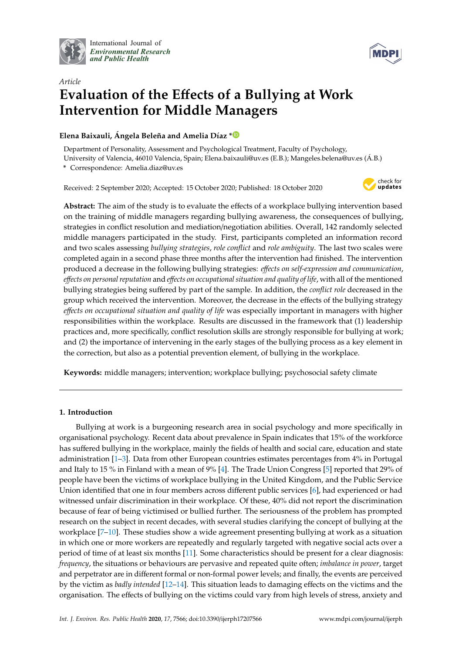

International Journal of *[Environmental Research](http://www.mdpi.com/journal/ijerph) and Public Health*



# *Article* **Evaluation of the E**ff**ects of a Bullying at Work Intervention for Middle Managers**

# **Elena Baixauli, Ángela Beleña and Amelia Díaz [\\*](https://orcid.org/0000-0002-7799-3800)**

Department of Personality, Assessment and Psychological Treatment, Faculty of Psychology, University of Valencia, 46010 Valencia, Spain; Elena.baixauli@uv.es (E.B.); Mangeles.belena@uv.es (Á.B.)

**\*** Correspondence: Amelia.diaz@uv.es

Received: 2 September 2020; Accepted: 15 October 2020; Published: 18 October 2020



**Abstract:** The aim of the study is to evaluate the effects of a workplace bullying intervention based on the training of middle managers regarding bullying awareness, the consequences of bullying, strategies in conflict resolution and mediation/negotiation abilities. Overall, 142 randomly selected middle managers participated in the study. First, participants completed an information record and two scales assessing *bullying strategies*, *role conflict* and *role ambiguity*. The last two scales were completed again in a second phase three months after the intervention had finished. The intervention produced a decrease in the following bullying strategies: *e*ff*ects on self-expression and communication*, *e*ff*ects on personal reputation* and *e*ff*ects on occupational situation and quality of life*, with all of the mentioned bullying strategies being suffered by part of the sample. In addition, the *conflict role* decreased in the group which received the intervention. Moreover, the decrease in the effects of the bullying strategy *e*ff*ects on occupational situation and quality of life* was especially important in managers with higher responsibilities within the workplace. Results are discussed in the framework that (1) leadership practices and, more specifically, conflict resolution skills are strongly responsible for bullying at work; and (2) the importance of intervening in the early stages of the bullying process as a key element in the correction, but also as a potential prevention element, of bullying in the workplace.

**Keywords:** middle managers; intervention; workplace bullying; psychosocial safety climate

# **1. Introduction**

Bullying at work is a burgeoning research area in social psychology and more specifically in organisational psychology. Recent data about prevalence in Spain indicates that 15% of the workforce has suffered bullying in the workplace, mainly the fields of health and social care, education and state administration [\[1](#page-12-0)[–3\]](#page-12-1). Data from other European countries estimates percentages from 4% in Portugal and Italy to 15 % in Finland with a mean of 9% [\[4\]](#page-12-2). The Trade Union Congress [\[5\]](#page-12-3) reported that 29% of people have been the victims of workplace bullying in the United Kingdom, and the Public Service Union identified that one in four members across different public services [\[6\]](#page-12-4), had experienced or had witnessed unfair discrimination in their workplace. Of these, 40% did not report the discrimination because of fear of being victimised or bullied further. The seriousness of the problem has prompted research on the subject in recent decades, with several studies clarifying the concept of bullying at the workplace [\[7](#page-12-5)[–10\]](#page-12-6). These studies show a wide agreement presenting bullying at work as a situation in which one or more workers are repeatedly and regularly targeted with negative social acts over a period of time of at least six months [\[11\]](#page-12-7). Some characteristics should be present for a clear diagnosis: *frequency*, the situations or behaviours are pervasive and repeated quite often; *imbalance in power*, target and perpetrator are in different formal or non-formal power levels; and finally, the events are perceived by the victim as *badly intended* [\[12](#page-12-8)[–14\]](#page-13-0). This situation leads to damaging effects on the victims and the organisation. The effects of bullying on the victims could vary from high levels of stress, anxiety and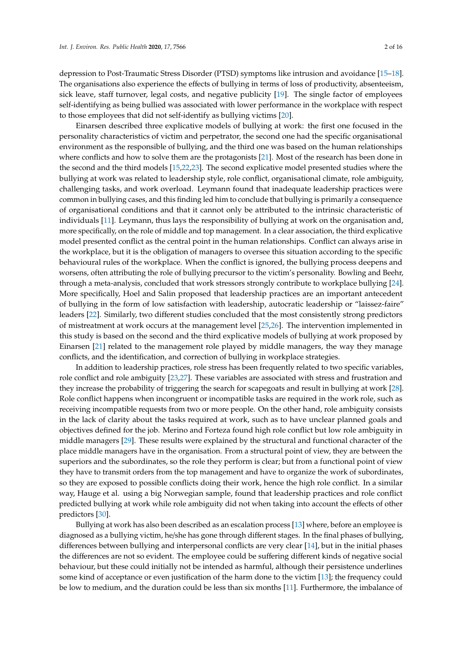depression to Post-Traumatic Stress Disorder (PTSD) symptoms like intrusion and avoidance [\[15–](#page-13-1)[18\]](#page-13-2). The organisations also experience the effects of bullying in terms of loss of productivity, absenteeism, sick leave, staff turnover, legal costs, and negative publicity [\[19\]](#page-13-3). The single factor of employees self-identifying as being bullied was associated with lower performance in the workplace with respect to those employees that did not self-identify as bullying victims [\[20\]](#page-13-4).

Einarsen described three explicative models of bullying at work: the first one focused in the personality characteristics of victim and perpetrator, the second one had the specific organisational environment as the responsible of bullying, and the third one was based on the human relationships where conflicts and how to solve them are the protagonists [\[21\]](#page-13-5). Most of the research has been done in the second and the third models [\[15](#page-13-1)[,22](#page-13-6)[,23\]](#page-13-7). The second explicative model presented studies where the bullying at work was related to leadership style, role conflict, organisational climate, role ambiguity, challenging tasks, and work overload. Leymann found that inadequate leadership practices were common in bullying cases, and this finding led him to conclude that bullying is primarily a consequence of organisational conditions and that it cannot only be attributed to the intrinsic characteristic of individuals [\[11\]](#page-12-7). Leymann, thus lays the responsibility of bullying at work on the organisation and, more specifically, on the role of middle and top management. In a clear association, the third explicative model presented conflict as the central point in the human relationships. Conflict can always arise in the workplace, but it is the obligation of managers to oversee this situation according to the specific behavioural rules of the workplace. When the conflict is ignored, the bullying process deepens and worsens, often attributing the role of bullying precursor to the victim's personality. Bowling and Beehr, through a meta-analysis, concluded that work stressors strongly contribute to workplace bullying [\[24\]](#page-13-8). More specifically, Hoel and Salin proposed that leadership practices are an important antecedent of bullying in the form of low satisfaction with leadership, autocratic leadership or "laissez-faire" leaders [\[22\]](#page-13-6). Similarly, two different studies concluded that the most consistently strong predictors of mistreatment at work occurs at the management level [\[25,](#page-13-9)[26\]](#page-13-10). The intervention implemented in this study is based on the second and the third explicative models of bullying at work proposed by Einarsen [\[21\]](#page-13-5) related to the management role played by middle managers, the way they manage conflicts, and the identification, and correction of bullying in workplace strategies.

In addition to leadership practices, role stress has been frequently related to two specific variables, role conflict and role ambiguity [\[23](#page-13-7)[,27\]](#page-13-11). These variables are associated with stress and frustration and they increase the probability of triggering the search for scapegoats and result in bullying at work [\[28\]](#page-13-12). Role conflict happens when incongruent or incompatible tasks are required in the work role, such as receiving incompatible requests from two or more people. On the other hand, role ambiguity consists in the lack of clarity about the tasks required at work, such as to have unclear planned goals and objectives defined for the job. Merino and Forteza found high role conflict but low role ambiguity in middle managers [\[29\]](#page-13-13). These results were explained by the structural and functional character of the place middle managers have in the organisation. From a structural point of view, they are between the superiors and the subordinates, so the role they perform is clear; but from a functional point of view they have to transmit orders from the top management and have to organize the work of subordinates, so they are exposed to possible conflicts doing their work, hence the high role conflict. In a similar way, Hauge et al. using a big Norwegian sample, found that leadership practices and role conflict predicted bullying at work while role ambiguity did not when taking into account the effects of other predictors [\[30\]](#page-13-14).

Bullying at work has also been described as an escalation process [\[13\]](#page-13-15) where, before an employee is diagnosed as a bullying victim, he/she has gone through different stages. In the final phases of bullying, differences between bullying and interpersonal conflicts are very clear [\[14\]](#page-13-0), but in the initial phases the differences are not so evident. The employee could be suffering different kinds of negative social behaviour, but these could initially not be intended as harmful, although their persistence underlines some kind of acceptance or even justification of the harm done to the victim [\[13\]](#page-13-15); the frequency could be low to medium, and the duration could be less than six months [\[11\]](#page-12-7). Furthermore, the imbalance of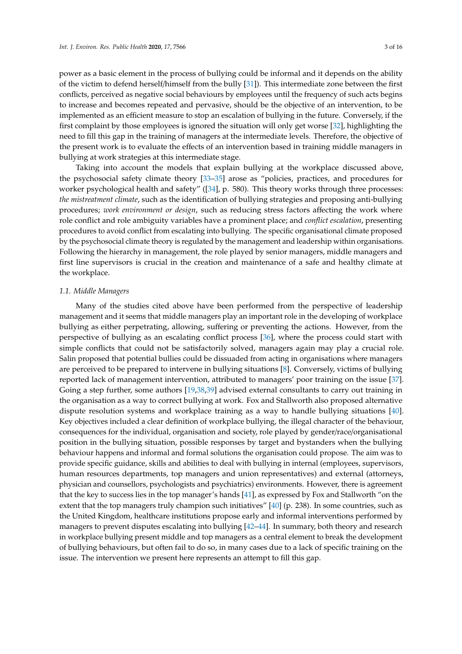power as a basic element in the process of bullying could be informal and it depends on the ability of the victim to defend herself/himself from the bully [\[31\]](#page-13-16)). This intermediate zone between the first conflicts, perceived as negative social behaviours by employees until the frequency of such acts begins to increase and becomes repeated and pervasive, should be the objective of an intervention, to be implemented as an efficient measure to stop an escalation of bullying in the future. Conversely, if the first complaint by those employees is ignored the situation will only get worse [\[32\]](#page-13-17), highlighting the need to fill this gap in the training of managers at the intermediate levels. Therefore, the objective of the present work is to evaluate the effects of an intervention based in training middle managers in bullying at work strategies at this intermediate stage.

Taking into account the models that explain bullying at the workplace discussed above, the psychosocial safety climate theory [\[33–](#page-13-18)[35\]](#page-14-0) arose as "policies, practices, and procedures for worker psychological health and safety" ([\[34\]](#page-13-19), p. 580). This theory works through three processes: *the mistreatment climate*, such as the identification of bullying strategies and proposing anti-bullying procedures; *work environment or design*, such as reducing stress factors affecting the work where role conflict and role ambiguity variables have a prominent place; and *conflict escalation*, presenting procedures to avoid conflict from escalating into bullying. The specific organisational climate proposed by the psychosocial climate theory is regulated by the management and leadership within organisations. Following the hierarchy in management, the role played by senior managers, middle managers and first line supervisors is crucial in the creation and maintenance of a safe and healthy climate at the workplace.

#### *1.1. Middle Managers*

Many of the studies cited above have been performed from the perspective of leadership management and it seems that middle managers play an important role in the developing of workplace bullying as either perpetrating, allowing, suffering or preventing the actions. However, from the perspective of bullying as an escalating conflict process [\[36\]](#page-14-1), where the process could start with simple conflicts that could not be satisfactorily solved, managers again may play a crucial role. Salin proposed that potential bullies could be dissuaded from acting in organisations where managers are perceived to be prepared to intervene in bullying situations [\[8\]](#page-12-9). Conversely, victims of bullying reported lack of management intervention, attributed to managers' poor training on the issue [\[37\]](#page-14-2). Going a step further, some authors [\[19](#page-13-3)[,38](#page-14-3)[,39\]](#page-14-4) advised external consultants to carry out training in the organisation as a way to correct bullying at work. Fox and Stallworth also proposed alternative dispute resolution systems and workplace training as a way to handle bullying situations [\[40\]](#page-14-5). Key objectives included a clear definition of workplace bullying, the illegal character of the behaviour, consequences for the individual, organisation and society, role played by gender/race/organisational position in the bullying situation, possible responses by target and bystanders when the bullying behaviour happens and informal and formal solutions the organisation could propose. The aim was to provide specific guidance, skills and abilities to deal with bullying in internal (employees, supervisors, human resources departments, top managers and union representatives) and external (attorneys, physician and counsellors, psychologists and psychiatrics) environments. However, there is agreement that the key to success lies in the top manager's hands [\[41\]](#page-14-6), as expressed by Fox and Stallworth "on the extent that the top managers truly champion such initiatives" [\[40\]](#page-14-5) (p. 238). In some countries, such as the United Kingdom, healthcare institutions propose early and informal interventions performed by managers to prevent disputes escalating into bullying [\[42–](#page-14-7)[44\]](#page-14-8). In summary, both theory and research in workplace bullying present middle and top managers as a central element to break the development of bullying behaviours, but often fail to do so, in many cases due to a lack of specific training on the issue. The intervention we present here represents an attempt to fill this gap.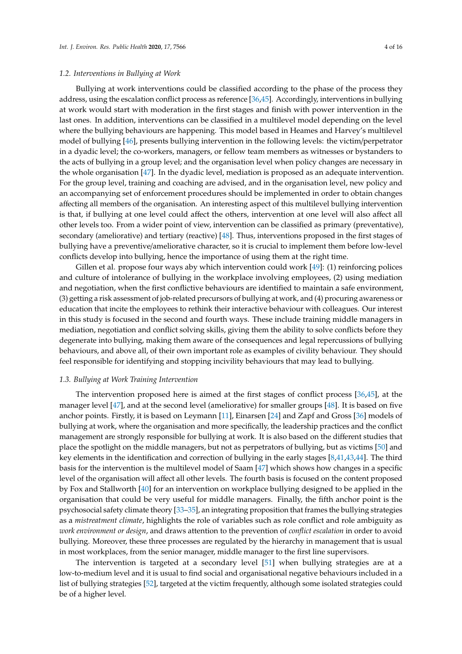#### *1.2. Interventions in Bullying at Work*

Bullying at work interventions could be classified according to the phase of the process they address, using the escalation conflict process as reference [\[36,](#page-14-1)[45\]](#page-14-9). Accordingly, interventions in bullying at work would start with moderation in the first stages and finish with power intervention in the last ones. In addition, interventions can be classified in a multilevel model depending on the level where the bullying behaviours are happening. This model based in Heames and Harvey's multilevel model of bullying [\[46\]](#page-14-10), presents bullying intervention in the following levels: the victim/perpetrator in a dyadic level; the co-workers, managers, or fellow team members as witnesses or bystanders to the acts of bullying in a group level; and the organisation level when policy changes are necessary in the whole organisation [\[47\]](#page-14-11). In the dyadic level, mediation is proposed as an adequate intervention. For the group level, training and coaching are advised, and in the organisation level, new policy and an accompanying set of enforcement procedures should be implemented in order to obtain changes affecting all members of the organisation. An interesting aspect of this multilevel bullying intervention is that, if bullying at one level could affect the others, intervention at one level will also affect all other levels too. From a wider point of view, intervention can be classified as primary (preventative), secondary (ameliorative) and tertiary (reactive) [\[48\]](#page-14-12). Thus, interventions proposed in the first stages of bullying have a preventive/ameliorative character, so it is crucial to implement them before low-level conflicts develop into bullying, hence the importance of using them at the right time.

Gillen et al. propose four ways aby which intervention could work [\[49\]](#page-14-13): (1) reinforcing polices and culture of intolerance of bullying in the workplace involving employees, (2) using mediation and negotiation, when the first conflictive behaviours are identified to maintain a safe environment, (3) getting a risk assessment of job-related precursors of bullying at work, and (4) procuring awareness or education that incite the employees to rethink their interactive behaviour with colleagues. Our interest in this study is focused in the second and fourth ways. These include training middle managers in mediation, negotiation and conflict solving skills, giving them the ability to solve conflicts before they degenerate into bullying, making them aware of the consequences and legal repercussions of bullying behaviours, and above all, of their own important role as examples of civility behaviour. They should feel responsible for identifying and stopping incivility behaviours that may lead to bullying.

# *1.3. Bullying at Work Training Intervention*

The intervention proposed here is aimed at the first stages of conflict process [\[36](#page-14-1)[,45\]](#page-14-9), at the manager level [\[47\]](#page-14-11), and at the second level (ameliorative) for smaller groups [\[48\]](#page-14-12). It is based on five anchor points. Firstly, it is based on Leymann [\[11\]](#page-12-7), Einarsen [\[24\]](#page-13-8) and Zapf and Gross [\[36\]](#page-14-1) models of bullying at work, where the organisation and more specifically, the leadership practices and the conflict management are strongly responsible for bullying at work. It is also based on the different studies that place the spotlight on the middle managers, but not as perpetrators of bullying, but as victims [\[50\]](#page-14-14) and key elements in the identification and correction of bullying in the early stages [\[8,](#page-12-9)[41,](#page-14-6)[43,](#page-14-15)[44\]](#page-14-8). The third basis for the intervention is the multilevel model of Saam [\[47\]](#page-14-11) which shows how changes in a specific level of the organisation will affect all other levels. The fourth basis is focused on the content proposed by Fox and Stallworth [\[40\]](#page-14-5) for an intervention on workplace bullying designed to be applied in the organisation that could be very useful for middle managers. Finally, the fifth anchor point is the psychosocial safety climate theory [\[33](#page-13-18)[–35\]](#page-14-0), an integrating proposition that frames the bullying strategies as a *mistreatment climate*, highlights the role of variables such as role conflict and role ambiguity as *work environment or design*, and draws attention to the prevention of *conflict escalation* in order to avoid bullying. Moreover, these three processes are regulated by the hierarchy in management that is usual in most workplaces, from the senior manager, middle manager to the first line supervisors.

The intervention is targeted at a secondary level [\[51\]](#page-14-16) when bullying strategies are at a low-to-medium level and it is usual to find social and organisational negative behaviours included in a list of bullying strategies [\[52\]](#page-14-17), targeted at the victim frequently, although some isolated strategies could be of a higher level.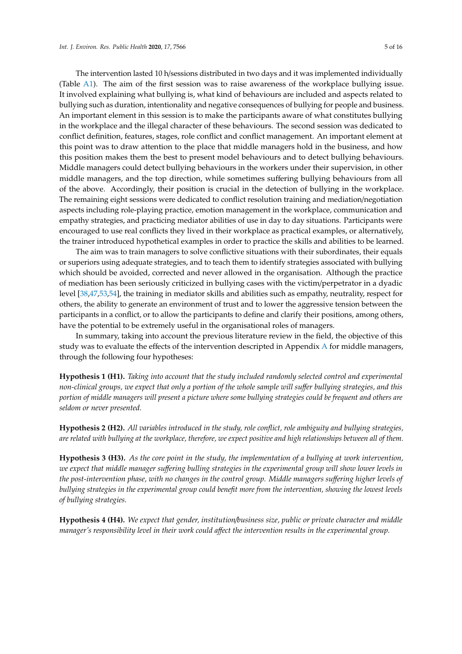The intervention lasted 10 h/sessions distributed in two days and it was implemented individually (Table [A1\)](#page-12-10). The aim of the first session was to raise awareness of the workplace bullying issue. It involved explaining what bullying is, what kind of behaviours are included and aspects related to bullying such as duration, intentionality and negative consequences of bullying for people and business. An important element in this session is to make the participants aware of what constitutes bullying in the workplace and the illegal character of these behaviours. The second session was dedicated to conflict definition, features, stages, role conflict and conflict management. An important element at this point was to draw attention to the place that middle managers hold in the business, and how this position makes them the best to present model behaviours and to detect bullying behaviours. Middle managers could detect bullying behaviours in the workers under their supervision, in other middle managers, and the top direction, while sometimes suffering bullying behaviours from all of the above. Accordingly, their position is crucial in the detection of bullying in the workplace. The remaining eight sessions were dedicated to conflict resolution training and mediation/negotiation aspects including role-playing practice, emotion management in the workplace, communication and empathy strategies, and practicing mediator abilities of use in day to day situations. Participants were encouraged to use real conflicts they lived in their workplace as practical examples, or alternatively, the trainer introduced hypothetical examples in order to practice the skills and abilities to be learned.

The aim was to train managers to solve conflictive situations with their subordinates, their equals or superiors using adequate strategies, and to teach them to identify strategies associated with bullying which should be avoided, corrected and never allowed in the organisation. Although the practice of mediation has been seriously criticized in bullying cases with the victim/perpetrator in a dyadic level [\[38](#page-14-3)[,47,](#page-14-11)[53,](#page-14-18)[54\]](#page-14-19), the training in mediator skills and abilities such as empathy, neutrality, respect for others, the ability to generate an environment of trust and to lower the aggressive tension between the participants in a conflict, or to allow the participants to define and clarify their positions, among others, have the potential to be extremely useful in the organisational roles of managers.

In summary, taking into account the previous literature review in the field, the objective of this study was to evaluate the effects of the intervention descripted in Appendix [A](#page-12-11) for middle managers, through the following four hypotheses:

**Hypothesis 1 (H1).** *Taking into account that the study included randomly selected control and experimental non-clinical groups, we expect that only a portion of the whole sample will suffer bullying strategies, and this portion of middle managers will present a picture where some bullying strategies could be frequent and others are seldom or never presented.*

**Hypothesis 2 (H2).** *All variables introduced in the study, role conflict, role ambiguity and bullying strategies, are related with bullying at the workplace, therefore, we expect positive and high relationships between all of them.*

**Hypothesis 3 (H3).** *As the core point in the study, the implementation of a bullying at work intervention, we expect that middle manager su*ff*ering bulling strategies in the experimental group will show lower levels in the post-intervention phase, with no changes in the control group. Middle managers su*ff*ering higher levels of bullying strategies in the experimental group could benefit more from the intervention, showing the lowest levels of bullying strategies.*

**Hypothesis 4 (H4).** *We expect that gender, institution*/*business size, public or private character and middle manager's responsibility level in their work could a*ff*ect the intervention results in the experimental group.*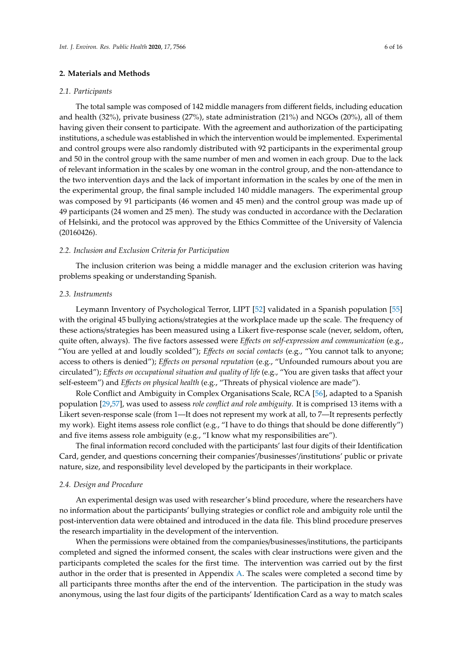# **2. Materials and Methods**

### *2.1. Participants*

The total sample was composed of 142 middle managers from different fields, including education and health (32%), private business (27%), state administration (21%) and NGOs (20%), all of them having given their consent to participate. With the agreement and authorization of the participating institutions, a schedule was established in which the intervention would be implemented. Experimental and control groups were also randomly distributed with 92 participants in the experimental group and 50 in the control group with the same number of men and women in each group. Due to the lack of relevant information in the scales by one woman in the control group, and the non-attendance to the two intervention days and the lack of important information in the scales by one of the men in the experimental group, the final sample included 140 middle managers. The experimental group was composed by 91 participants (46 women and 45 men) and the control group was made up of 49 participants (24 women and 25 men). The study was conducted in accordance with the Declaration of Helsinki, and the protocol was approved by the Ethics Committee of the University of Valencia (20160426).

#### *2.2. Inclusion and Exclusion Criteria for Participation*

The inclusion criterion was being a middle manager and the exclusion criterion was having problems speaking or understanding Spanish.

# *2.3. Instruments*

Leymann Inventory of Psychological Terror, LIPT [\[52\]](#page-14-17) validated in a Spanish population [\[55\]](#page-14-20) with the original 45 bullying actions/strategies at the workplace made up the scale. The frequency of these actions/strategies has been measured using a Likert five-response scale (never, seldom, often, quite often, always). The five factors assessed were *E*ff*ects on self-expression and communication* (e.g., "You are yelled at and loudly scolded"); *E*ff*ects on social contacts* (e.g., "You cannot talk to anyone; access to others is denied"); *E*ff*ects on personal reputation* (e.g., "Unfounded rumours about you are circulated"); *E*ff*ects on occupational situation and quality of life* (e.g., "You are given tasks that affect your self-esteem") and *E*ff*ects on physical health* (e.g., "Threats of physical violence are made").

Role Conflict and Ambiguity in Complex Organisations Scale, RCA [\[56\]](#page-14-21), adapted to a Spanish population [\[29](#page-13-13)[,57\]](#page-14-22), was used to assess *role conflict and role ambiguity*. It is comprised 13 items with a Likert seven-response scale (from 1—It does not represent my work at all, to 7—It represents perfectly my work). Eight items assess role conflict (e.g., "I have to do things that should be done differently") and five items assess role ambiguity (e.g., "I know what my responsibilities are").

The final information record concluded with the participants' last four digits of their Identification Card, gender, and questions concerning their companies'/businesses'/institutions' public or private nature, size, and responsibility level developed by the participants in their workplace.

#### *2.4. Design and Procedure*

An experimental design was used with researcher's blind procedure, where the researchers have no information about the participants' bullying strategies or conflict role and ambiguity role until the post-intervention data were obtained and introduced in the data file. This blind procedure preserves the research impartiality in the development of the intervention.

When the permissions were obtained from the companies/businesses/institutions, the participants completed and signed the informed consent, the scales with clear instructions were given and the participants completed the scales for the first time. The intervention was carried out by the first author in the order that is presented in Appendix [A.](#page-12-11) The scales were completed a second time by all participants three months after the end of the intervention. The participation in the study was anonymous, using the last four digits of the participants' Identification Card as a way to match scales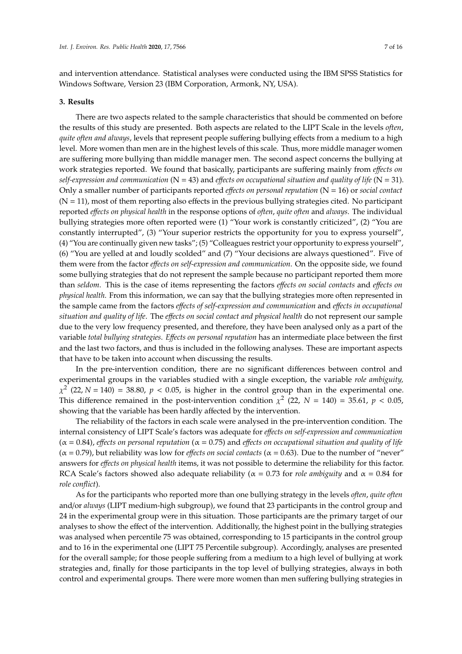and intervention attendance. Statistical analyses were conducted using the IBM SPSS Statistics for Windows Software, Version 23 (IBM Corporation, Armonk, NY, USA).

## **3. Results**

There are two aspects related to the sample characteristics that should be commented on before the results of this study are presented. Both aspects are related to the LIPT Scale in the levels *often*, *quite often and always*, levels that represent people suffering bullying effects from a medium to a high level. More women than men are in the highest levels of this scale. Thus, more middle manager women are suffering more bullying than middle manager men. The second aspect concerns the bullying at work strategies reported. We found that basically, participants are suffering mainly from *e*ff*ects on self-expression and communication* (N = 43) and *e*ff*ects on occupational situation and quality of life* (N = 31). Only a smaller number of participants reported *e*ff*ects on personal reputation* (N = 16) or *social contact*  $(N = 11)$ , most of them reporting also effects in the previous bullying strategies cited. No participant reported *e*ff*ects on physical health* in the response options of *often*, *quite often* and *always*. The individual bullying strategies more often reported were (1) "Your work is constantly criticized", (2) "You are constantly interrupted", (3) "Your superior restricts the opportunity for you to express yourself", (4) "You are continually given new tasks"; (5) "Colleagues restrict your opportunity to express yourself", (6) "You are yelled at and loudly scolded" and (7) "Your decisions are always questioned". Five of them were from the factor *e*ff*ects on self-expression and communication*. On the opposite side, we found some bullying strategies that do not represent the sample because no participant reported them more than *seldom*. This is the case of items representing the factors *e*ff*ects on social contacts* and *e*ff*ects on physical health*. From this information, we can say that the bullying strategies more often represented in the sample came from the factors *e*ff*ects of self-expression and communication* and *e*ff*ects in occupational situation and quality of life*. The *e*ff*ects on social contact and physical health* do not represent our sample due to the very low frequency presented, and therefore, they have been analysed only as a part of the variable *total bullying strategies*. *E*ff*ects on personal reputation* has an intermediate place between the first and the last two factors, and thus is included in the following analyses. These are important aspects that have to be taken into account when discussing the results.

In the pre-intervention condition, there are no significant differences between control and experimental groups in the variables studied with a single exception, the variable *role ambiguity,*  $\chi^2$  (22, *N* = 140) = 38.80, *p* < 0.05, is higher in the control group than in the experimental one. This difference remained in the post-intervention condition  $\chi^2$  (22, N = 140) = 35.61, p < 0.05, showing that the variable has been hardly affected by the intervention.

The reliability of the factors in each scale were analysed in the pre-intervention condition. The internal consistency of LIPT Scale's factors was adequate for *e*ff*ects on self-expression and communication* (α = 0.84), *e*ff*ects on personal reputation* (α = 0.75) and *e*ff*ects on occupational situation and quality of life*  $(\alpha = 0.79)$ , but reliability was low for *effects on social contacts* ( $\alpha = 0.63$ ). Due to the number of "never" answers for *e*ff*ects on physical health* items, it was not possible to determine the reliability for this factor. RCA Scale's factors showed also adequate reliability ( $\alpha$  = 0.73 for *role ambiguity* and  $\alpha$  = 0.84 for *role conflict*).

As for the participants who reported more than one bullying strategy in the levels *often*, *quite often* and/or *always* (LIPT medium-high subgroup), we found that 23 participants in the control group and 24 in the experimental group were in this situation. Those participants are the primary target of our analyses to show the effect of the intervention. Additionally, the highest point in the bullying strategies was analysed when percentile 75 was obtained, corresponding to 15 participants in the control group and to 16 in the experimental one (LIPT 75 Percentile subgroup). Accordingly, analyses are presented for the overall sample; for those people suffering from a medium to a high level of bullying at work strategies and, finally for those participants in the top level of bullying strategies, always in both control and experimental groups. There were more women than men suffering bullying strategies in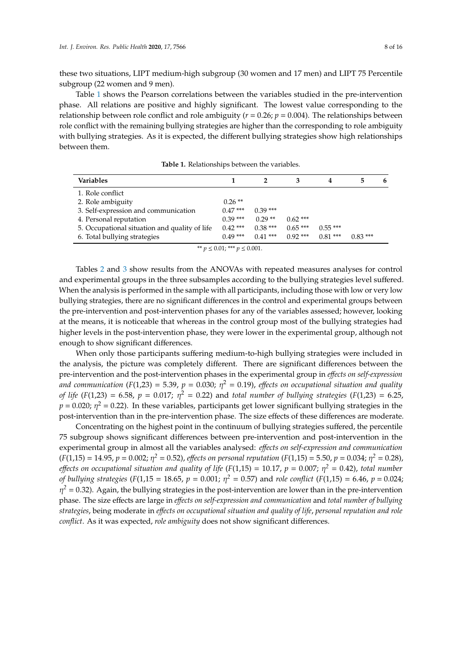these two situations, LIPT medium-high subgroup (30 women and 17 men) and LIPT 75 Percentile subgroup (22 women and 9 men).

Table [1](#page-7-0) shows the Pearson correlations between the variables studied in the pre-intervention phase. All relations are positive and highly significant. The lowest value corresponding to the relationship between role conflict and role ambiguity ( $r = 0.26$ ;  $p = 0.004$ ). The relationships between role conflict with the remaining bullying strategies are higher than the corresponding to role ambiguity with bullying strategies. As it is expected, the different bullying strategies show high relationships between them.

<span id="page-7-0"></span>

| Variables                                     |           |           |           | 4         | 6<br>5    |
|-----------------------------------------------|-----------|-----------|-----------|-----------|-----------|
| 1. Role conflict                              |           |           |           |           |           |
| 2. Role ambiguity                             | $0.26**$  |           |           |           |           |
| 3. Self-expression and communication          | $0.47***$ | $0.39***$ |           |           |           |
| 4. Personal reputation                        | $0.39***$ | $0.29**$  | $0.62***$ |           |           |
| 5. Occupational situation and quality of life | $0.42***$ | $0.38***$ | $0.65***$ | $0.55***$ |           |
| 6. Total bullying strategies                  | $0.49***$ | $0.41***$ | $0.92***$ | $0.81***$ | $0.83***$ |

**Table 1.** Relationships between the variables.

Tables [2](#page-8-0) and [3](#page-8-1) show results from the ANOVAs with repeated measures analyses for control and experimental groups in the three subsamples according to the bullying strategies level suffered. When the analysis is performed in the sample with all participants, including those with low or very low bullying strategies, there are no significant differences in the control and experimental groups between the pre-intervention and post-intervention phases for any of the variables assessed; however, looking at the means, it is noticeable that whereas in the control group most of the bullying strategies had higher levels in the post-intervention phase, they were lower in the experimental group, although not enough to show significant differences.

When only those participants suffering medium-to-high bullying strategies were included in the analysis, the picture was completely different. There are significant differences between the pre-intervention and the post-intervention phases in the experimental group in *e*ff*ects on self-expression* and communication (F(1,23) = 5.39,  $p = 0.030$ ;  $\eta^2 = 0.19$ ), effects on occupational situation and quality *of life* (*F*(1,23) = 6.58,  $p = 0.017$ ;  $\eta^2 = 0.22$ ) and *total number of bullying strategies* (*F*(1,23) = 6.25,  $p = 0.020$ ;  $\eta^2 = 0.22$ ). In these variables, participants get lower significant bullying strategies in the post-intervention than in the pre-intervention phase. The size effects of these differences are moderate.

Concentrating on the highest point in the continuum of bullying strategies suffered, the percentile 75 subgroup shows significant differences between pre-intervention and post-intervention in the experimental group in almost all the variables analysed: *e*ff*ects on self-expression and communication*  $(F(1,15) = 14.95, p = 0.002; \eta^2 = 0.52$ ), effects on personal reputation  $(F(1,15) = 5.50, p = 0.034; \eta^2 = 0.28)$ , *e*ff*ects on occupational situation and quality of life* (*F*(1,15) = 10.17, *p* = 0.007; η *<sup>2</sup>* = 0.42), *total number of bullying strategies* (*F*(1,15 = 18.65, *p* = 0.001;  $\eta^2$  = 0.57) and *role conflict* (*F*(1,15) = 6.46, *p* = 0.024;  $\eta^2$  = 0.32). Again, the bullying strategies in the post-intervention are lower than in the pre-intervention phase. The size effects are large in *e*ff*ects on self-expression and communication* and *total number of bullying strategies*, being moderate in *e*ff*ects on occupational situation and quality of life*, *personal reputation and role conflict*. As it was expected, *role ambiguity* does not show significant differences.

<sup>\*\*</sup>  $p \leq 0.01$ ; \*\*\*  $p \leq 0.001$ .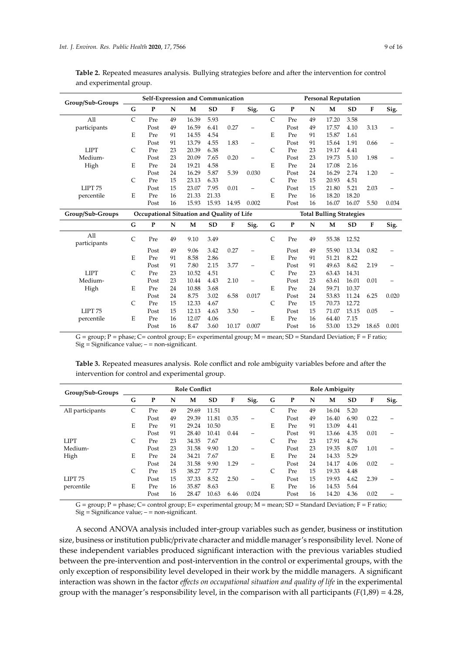| Group/Sub-Groups    | Self-Expression and Communication                                             |           |           |       |           |              |                          |              | <b>Personal Reputation</b> |           |       |           |             |       |  |
|---------------------|-------------------------------------------------------------------------------|-----------|-----------|-------|-----------|--------------|--------------------------|--------------|----------------------------|-----------|-------|-----------|-------------|-------|--|
|                     | G                                                                             | ${\bf P}$ | ${\bf N}$ | M     | <b>SD</b> | $\mathbf{F}$ | Sig.                     | G            | P                          | ${\bf N}$ | M     | SD        | F           | Sig.  |  |
| All                 | $\mathsf{C}$                                                                  | Pre       | 49        | 16.39 | 5.93      |              |                          | $\mathsf{C}$ | Pre                        | 49        | 17.20 | 3.58      |             |       |  |
| participants        |                                                                               | Post      | 49        | 16.59 | 6.41      | 0.27         | $\overline{\phantom{0}}$ |              | Post                       | 49        | 17.57 | 4.10      | 3.13        |       |  |
|                     | E                                                                             | Pre       | 91        | 14.55 | 4.54      |              |                          | E            | Pre                        | 91        | 15.87 | 1.61      |             |       |  |
|                     |                                                                               | Post      | 91        | 13.79 | 4.55      | 1.83         | $\overline{\phantom{0}}$ |              | Post                       | 91        | 15.64 | 1.91      | 0.66        |       |  |
| <b>LIPT</b>         | $\mathsf{C}$                                                                  | Pre       | 23        | 20.39 | 6.38      |              |                          | $\mathsf{C}$ | Pre                        | 23        | 19.17 | 4.41      |             |       |  |
| Medium-             |                                                                               | Post      | 23        | 20.09 | 7.65      | 0.20         | $\overline{\phantom{0}}$ |              | Post                       | 23        | 19.73 | 5.10      | 1.98        |       |  |
| High                | E                                                                             | Pre       | 24        | 19.21 | 4.58      |              |                          | E            | Pre                        | 24        | 17.08 | 2.16      |             |       |  |
|                     |                                                                               | Post      | 24        | 16.29 | 5.87      | 5.39         | 0.030                    |              | Post                       | 24        | 16.29 | 2.74      | 1.20        |       |  |
|                     | C                                                                             | Pre       | 15        | 23.13 | 6.33      |              |                          | $\mathsf{C}$ | Pre                        | 15        | 20.93 | 4.51      |             |       |  |
| LIPT <sub>75</sub>  |                                                                               | Post      | 15        | 23.07 | 7.95      | 0.01         | $\overline{\phantom{0}}$ |              | Post                       | 15        | 21.80 | 5.21      | 2.03        |       |  |
| percentile          | E                                                                             | Pre       | 16        | 21.33 | 21.33     |              |                          | E            | Pre                        | 16        | 18.20 | 18.20     |             |       |  |
|                     |                                                                               | Post      | 16        | 15.93 | 15.93     | 14.95        | 0.002                    |              | Post                       | 16        | 16.07 | 16.07     | 5.50        | 0.034 |  |
| Group/Sub-Groups    | Occupational Situation and Quality of Life<br><b>Total Bulling Strategies</b> |           |           |       |           |              |                          |              |                            |           |       |           |             |       |  |
|                     | G                                                                             | P         | ${\bf N}$ | M     | <b>SD</b> | $\mathbf{F}$ | Sig.                     | G            | $\mathbf{P}$               | ${\bf N}$ | M     | <b>SD</b> | $\mathbf F$ | Sig.  |  |
| All<br>participants | C                                                                             | Pre       | 49        | 9.10  | 3.49      |              |                          | $\mathsf{C}$ | Pre                        | 49        | 55.38 | 12.52     |             |       |  |
|                     |                                                                               | Post      | 49        | 9.06  | 3.42      | 0.27         | -                        |              | Post                       | 49        | 55.90 | 13.34     | 0.82        |       |  |
|                     | E                                                                             | Pre       | 91        | 8.58  | 2.86      |              |                          | E            | Pre                        | 91        | 51.21 | 8.22      |             |       |  |
|                     |                                                                               | Post      | 91        | 7.80  | 2.15      | 3.77         | -                        |              | Post                       | 91        | 49.63 | 8.62      | 2.19        |       |  |
| <b>LIPT</b>         | C                                                                             | Pre       | 23        | 10.52 | 4.51      |              |                          | $\mathsf{C}$ | Pre                        | 23        | 63.43 | 14.31     |             |       |  |
| Medium-             |                                                                               | Post      | 23        | 10.44 | 4.43      | 2.10         | $\overline{\phantom{0}}$ |              | Post                       | 23        | 63.61 | 16.01     | 0.01        |       |  |
| High                | E                                                                             | Pre       | 24        | 10.88 | 3.68      |              |                          | E            | Pre                        | 24        | 59.71 | 10.37     |             |       |  |
|                     |                                                                               | Post      | 24        | 8.75  | 3.02      | 6.58         | 0.017                    |              | Post                       | 24        | 53.83 | 11.24     | 6.25        | 0.020 |  |
|                     | C                                                                             | Pre       | 15        | 12.33 | 4.67      |              |                          | C            | Pre                        | 15        | 70.73 | 12.72     |             |       |  |
| LIPT <sub>75</sub>  |                                                                               | Post      | 15        | 12.13 | 4.63      | 3.50         | $\overline{\phantom{0}}$ |              | Post                       | 15        | 71.07 | 15.15     | 0.05        |       |  |
| percentile          | E                                                                             | Pre       | 16        | 12.07 | 4.06      |              |                          | E            | Pre                        | 16        | 64.40 | 7.15      |             |       |  |
|                     |                                                                               |           |           |       |           |              |                          |              |                            |           |       |           |             |       |  |

<span id="page-8-0"></span>**Table 2.** Repeated measures analysis. Bullying strategies before and after the intervention for control and experimental group.

 $G = \text{group}; P = \text{phase}; C = \text{control group}; E = \text{experimental group}; M = \text{mean}; SD = \text{Standard Deviation}; F = F \text{ ratio};$ Sig = Significance value; – = non-significant.

| Group/Sub-Groups   | <b>Role Conflict</b> |      |    |       |       |      |       | <b>Role Ambiguity</b> |      |    |       |      |      |      |
|--------------------|----------------------|------|----|-------|-------|------|-------|-----------------------|------|----|-------|------|------|------|
|                    | G                    | P    | N  | M     | SD    | F    | Sig.  | G                     | P    | N  | M     | SD   | F    | Sig. |
| All participants   | C                    | Pre  | 49 | 29.69 | 11.51 |      |       | C                     | Pre  | 49 | 16.04 | 5.20 |      |      |
|                    |                      | Post | 49 | 29.39 | 11.81 | 0.35 | -     |                       | Post | 49 | 16.40 | 6.90 | 0.22 |      |
|                    | E                    | Pre  | 91 | 29.24 | 10.50 |      |       | E                     | Pre  | 91 | 13.09 | 4.41 |      |      |
|                    |                      | Post | 91 | 28.40 | 10.41 | 0.44 |       |                       | Post | 91 | 13.66 | 4.35 | 0.01 |      |
| <b>LIPT</b>        | C                    | Pre  | 23 | 34.35 | 7.67  |      |       | C                     | Pre  | 23 | 17.91 | 4.76 |      |      |
| Medium-            |                      | Post | 23 | 31.58 | 9.90  | 1.20 | -     |                       | Post | 23 | 19.35 | 8.07 | 1.01 |      |
| High               | E                    | Pre  | 24 | 34.21 | 7.67  |      |       | E                     | Pre  | 24 | 14.33 | 5.29 |      |      |
|                    |                      | Post | 24 | 31.58 | 9.90  | 1.29 | -     |                       | Post | 24 | 14.17 | 4.06 | 0.02 |      |
|                    | C                    | Pre  | 15 | 38.27 | 7.77  |      |       | C                     | Pre  | 15 | 19.33 | 4.48 |      |      |
| LIPT <sub>75</sub> |                      | Post | 15 | 37.33 | 8.52  | 2.50 | -     |                       | Post | 15 | 19.93 | 4.62 | 2.39 |      |
| percentile         | E                    | Pre  | 16 | 35.87 | 8.63  |      |       | E                     | Pre  | 16 | 14.53 | 5.64 |      |      |
|                    |                      | Post | 16 | 28.47 | 10.63 | 6.46 | 0.024 |                       | Post | 16 | 14.20 | 4.36 | 0.02 |      |

<span id="page-8-1"></span>**Table 3.** Repeated measures analysis. Role conflict and role ambiguity variables before and after the intervention for control and experimental group.

 $G = \text{group}; P = \text{phase}; C = \text{control group}; E = \text{experimental group}; M = \text{mean}; SD = \text{Standard Deviation}; F = F \text{ ratio};$  $Sig = Significance value$ ;  $-$  = non-significant.

A second ANOVA analysis included inter-group variables such as gender, business or institution size, business or institution public/private character and middle manager's responsibility level. None of these independent variables produced significant interaction with the previous variables studied between the pre-intervention and post-intervention in the control or experimental groups, with the only exception of responsibility level developed in their work by the middle managers. A significant interaction was shown in the factor *e*ff*ects on occupational situation and quality of life* in the experimental group with the manager's responsibility level, in the comparison with all participants  $(F(1,89) = 4.28$ ,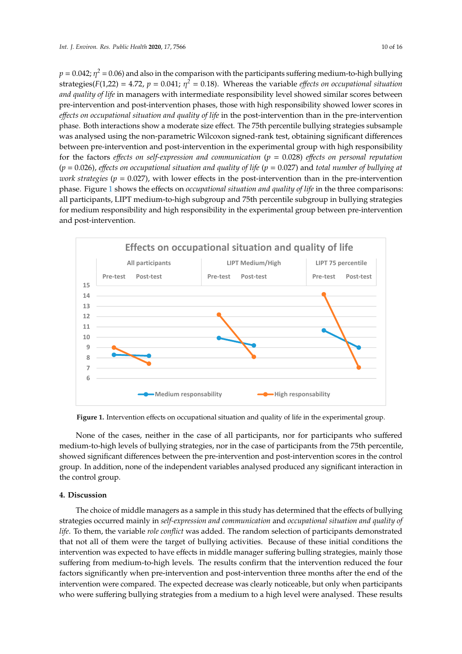$p = 0.042$ ;  $\eta^2$  = 0.06) and also in the comparison with the participants suffering medium-to-high bullying strategies( $F(1,22) = 4.72$ ,  $p = 0.041$ ;  $\eta^2 = 0.18$ ). Whereas the variable *effects on occupational situation and quality of life* in managers with intermediate responsibility level showed similar scores between pre-intervention and post-intervention phases, those with high responsibility showed lower scores in *e*ff*ects on occupational situation and quality of life* in the post-intervention than in the pre-intervention phase. Both interactions show a moderate size effect. The 75th percentile bullying strategies subsample was analysed using the non-parametric Wilcoxon signed-rank test, obtaining significant differences between pre-intervention and post-intervention in the experimental group with high responsibility for the factors *e*ff*ects on self-expression and communication* (*p* = 0.028) *e*ff*ects on personal reputation* (*p* = 0.026), *e*ff*ects on occupational situation and quality of life* (*p* = 0.027) and *total number of bullying at work strategies* ( $p = 0.027$ ), with lower effects in the post-intervention than in the pre-intervention phase. Figure [1](#page-9-0) shows the effects on *occupational situation and quality of life* in the three comparisons: all participants, LIPT medium-to-high subgroup and 75th percentile subgroup in bullying strategies for medium responsibility and high responsibility in the experimental group between pre-intervention and post-intervention.

<span id="page-9-0"></span>

Figure 1. Intervention effects on occupational situation and quality of life in the experimental group.

None of the cases, neither in the case of all participants, nor for participants who suffered None of the cases, neither in the case of all participants, nor for participants who suffered medium‐to‐high levels of bullying strategies, nor in the case of participants from the 75th percentile, medium-to-high levels of bullying strategies, nor in the case of participants from the 75th percentile, showed significant differences between the pre‐intervention and post‐intervention scores in the showed significant differences between the pre-intervention and post-intervention scores in the control group. In addition, none of the independent variables analysed produced any significant interaction in the control group.

# **4. Discussion 4. Discussion**

The choice of middle managers as a sample in this study has determined that the effects of The choice of middle managers as a sample in this study has determined that the effects of bullying strategies occurred mainly in self-expression and communication and occupational situation and quality of *life*. To them, the variable *role conflict* was added. The random selection of participants demonstrated that not all of them were the target of bullying activities. Because of these initial conditions the intervention was expected to have effects in middle manager suffering bulling strategies, mainly those suffering from medium‐to‐high levels. The results confirm that the intervention reduced the four factors significantly when pre-intervention and post-intervention three months after the end of the intervention were compared. The expected decrease was clearly noticeable, but only when participants who were suffering bullying strategies from a medium to a high level were analysed. These results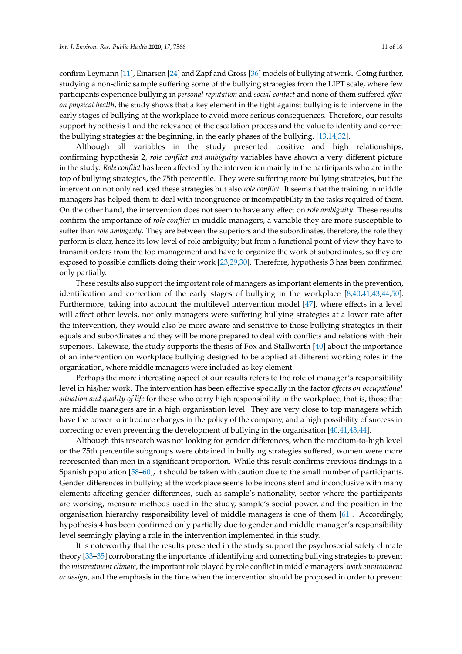confirm Leymann [\[11\]](#page-12-7), Einarsen [\[24\]](#page-13-8) and Zapf and Gross [\[36\]](#page-14-1) models of bullying at work. Going further, studying a non-clinic sample suffering some of the bullying strategies from the LIPT scale, where few participants experience bullying in *personal reputation* and *social contact* and none of them suffered *e*ff*ect on physical health*, the study shows that a key element in the fight against bullying is to intervene in the early stages of bullying at the workplace to avoid more serious consequences. Therefore, our results support hypothesis 1 and the relevance of the escalation process and the value to identify and correct the bullying strategies at the beginning, in the early phases of the bullying. [\[13](#page-13-15)[,14](#page-13-0)[,32\]](#page-13-17).

Although all variables in the study presented positive and high relationships, confirming hypothesis 2, *role conflict and ambiguity* variables have shown a very different picture in the study. *Role conflict* has been affected by the intervention mainly in the participants who are in the top of bullying strategies, the 75th percentile. They were suffering more bullying strategies, but the intervention not only reduced these strategies but also *role conflict*. It seems that the training in middle managers has helped them to deal with incongruence or incompatibility in the tasks required of them. On the other hand, the intervention does not seem to have any effect on *role ambiguity*. These results confirm the importance of *role conflict* in middle managers, a variable they are more susceptible to suffer than *role ambiguity*. They are between the superiors and the subordinates, therefore, the role they perform is clear, hence its low level of role ambiguity; but from a functional point of view they have to transmit orders from the top management and have to organize the work of subordinates, so they are exposed to possible conflicts doing their work [\[23,](#page-13-7)[29,](#page-13-13)[30\]](#page-13-14). Therefore, hypothesis 3 has been confirmed only partially.

These results also support the important role of managers as important elements in the prevention, identification and correction of the early stages of bullying in the workplace [\[8,](#page-12-9)[40,](#page-14-5)[41,](#page-14-6)[43,](#page-14-15)[44,](#page-14-8)[50\]](#page-14-14). Furthermore, taking into account the multilevel intervention model [\[47\]](#page-14-11), where effects in a level will affect other levels, not only managers were suffering bullying strategies at a lower rate after the intervention, they would also be more aware and sensitive to those bullying strategies in their equals and subordinates and they will be more prepared to deal with conflicts and relations with their superiors. Likewise, the study supports the thesis of Fox and Stallworth [\[40\]](#page-14-5) about the importance of an intervention on workplace bullying designed to be applied at different working roles in the organisation, where middle managers were included as key element.

Perhaps the more interesting aspect of our results refers to the role of manager's responsibility level in his/her work. The intervention has been effective specially in the factor *e*ff*ects on occupational situation and quality of life* for those who carry high responsibility in the workplace, that is, those that are middle managers are in a high organisation level. They are very close to top managers which have the power to introduce changes in the policy of the company, and a high possibility of success in correcting or even preventing the development of bullying in the organisation [\[40](#page-14-5)[,41](#page-14-6)[,43](#page-14-15)[,44\]](#page-14-8).

Although this research was not looking for gender differences, when the medium-to-high level or the 75th percentile subgroups were obtained in bullying strategies suffered, women were more represented than men in a significant proportion. While this result confirms previous findings in a Spanish population [\[58](#page-15-0)[–60\]](#page-15-1), it should be taken with caution due to the small number of participants. Gender differences in bullying at the workplace seems to be inconsistent and inconclusive with many elements affecting gender differences, such as sample's nationality, sector where the participants are working, measure methods used in the study, sample's social power, and the position in the organisation hierarchy responsibility level of middle managers is one of them [\[61\]](#page-15-2). Accordingly, hypothesis 4 has been confirmed only partially due to gender and middle manager's responsibility level seemingly playing a role in the intervention implemented in this study.

It is noteworthy that the results presented in the study support the psychosocial safety climate theory [\[33–](#page-13-18)[35\]](#page-14-0) corroborating the importance of identifying and correcting bullying strategies to prevent the *mistreatment climate*, the important role played by role conflict in middle managers' *work environment or design,* and the emphasis in the time when the intervention should be proposed in order to prevent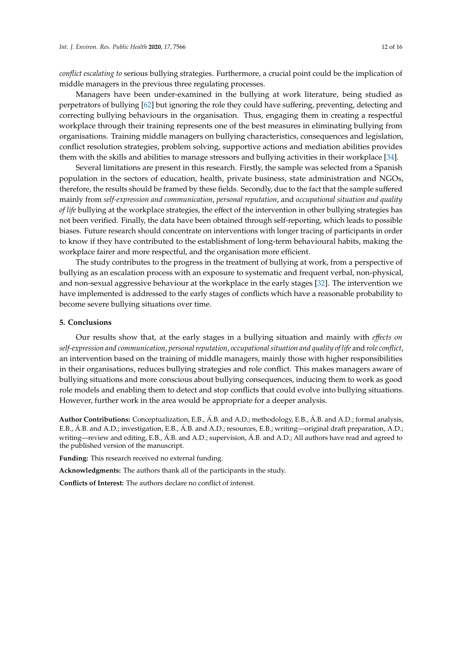*conflict escalating to* serious bullying strategies. Furthermore, a crucial point could be the implication of middle managers in the previous three regulating processes.

Managers have been under-examined in the bullying at work literature, being studied as perpetrators of bullying [\[62\]](#page-15-3) but ignoring the role they could have suffering, preventing, detecting and correcting bullying behaviours in the organisation. Thus, engaging them in creating a respectful workplace through their training represents one of the best measures in eliminating bullying from organisations. Training middle managers on bullying characteristics, consequences and legislation, conflict resolution strategies, problem solving, supportive actions and mediation abilities provides them with the skills and abilities to manage stressors and bullying activities in their workplace [\[34\]](#page-13-19).

Several limitations are present in this research. Firstly, the sample was selected from a Spanish population in the sectors of education, health, private business, state administration and NGOs, therefore, the results should be framed by these fields. Secondly, due to the fact that the sample suffered mainly from *self-expression and communication*, *personal reputation*, and *occupational situation and quality of life* bullying at the workplace strategies, the effect of the intervention in other bullying strategies has not been verified. Finally, the data have been obtained through self-reporting, which leads to possible biases. Future research should concentrate on interventions with longer tracing of participants in order to know if they have contributed to the establishment of long-term behavioural habits, making the workplace fairer and more respectful, and the organisation more efficient.

The study contributes to the progress in the treatment of bullying at work, from a perspective of bullying as an escalation process with an exposure to systematic and frequent verbal, non-physical, and non-sexual aggressive behaviour at the workplace in the early stages [\[32\]](#page-13-17). The intervention we have implemented is addressed to the early stages of conflicts which have a reasonable probability to become severe bullying situations over time.

# **5. Conclusions**

Our results show that, at the early stages in a bullying situation and mainly with *e*ff*ects on self-expression and communication*, *personal reputation*, *occupational situation and quality of life* and *role conflict*, an intervention based on the training of middle managers, mainly those with higher responsibilities in their organisations, reduces bullying strategies and role conflict. This makes managers aware of bullying situations and more conscious about bullying consequences, inducing them to work as good role models and enabling them to detect and stop conflicts that could evolve into bullying situations. However, further work in the area would be appropriate for a deeper analysis.

**Author Contributions:** Conceptualization, E.B., Á.B. and A.D.; methodology, E.B., Á.B. and A.D.; formal analysis, E.B., Á.B. and A.D.; investigation, E.B., Á.B. and A.D.; resources, E.B.; writing—original draft preparation, A.D.; writing—review and editing, E.B., Á.B. and A.D.; supervision, Á.B. and A.D.; All authors have read and agreed to the published version of the manuscript.

**Funding:** This research received no external funding.

**Acknowledgments:** The authors thank all of the participants in the study.

**Conflicts of Interest:** The authors declare no conflict of interest.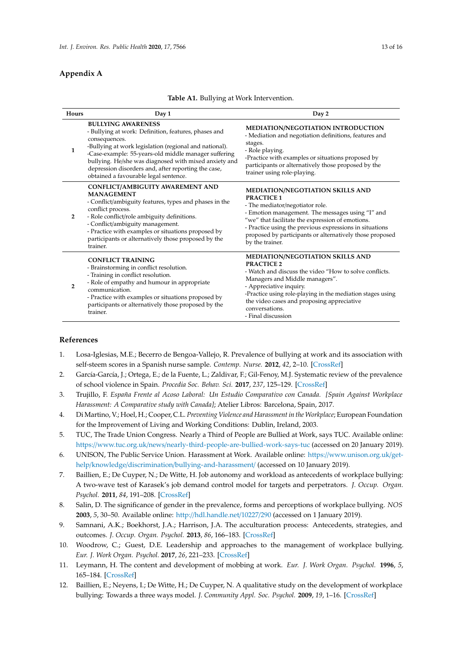# <span id="page-12-11"></span><span id="page-12-10"></span>**Appendix A**

## **Table A1.** Bullying at Work Intervention.

| Hours          | Day 1                                                                                                                                                                                                                                                                                                                                                                         | Day 2                                                                                                                                                                                                                                                                                                                                      |
|----------------|-------------------------------------------------------------------------------------------------------------------------------------------------------------------------------------------------------------------------------------------------------------------------------------------------------------------------------------------------------------------------------|--------------------------------------------------------------------------------------------------------------------------------------------------------------------------------------------------------------------------------------------------------------------------------------------------------------------------------------------|
| 1              | <b>BULLYING AWARENESS</b><br>- Bullying at work: Definition, features, phases and<br>consequences.<br>-Bullying at work legislation (regional and national).<br>-Case-example: 55-years-old middle manager suffering<br>bullying. He/she was diagnosed with mixed anxiety and<br>depression disorders and, after reporting the case,<br>obtained a favourable legal sentence. | MEDIATION/NEGOTIATION INTRODUCTION<br>- Mediation and negotiation definitions, features and<br>stages.<br>- Role playing.<br>-Practice with examples or situations proposed by<br>participants or alternatively those proposed by the<br>trainer using role-playing.                                                                       |
| $\overline{2}$ | CONFLICT/AMBIGUITY AWAREMENT AND<br><b>MANAGEMENT</b><br>- Conflict/ambiguity features, types and phases in the<br>conflict process.<br>- Role conflict/role ambiguity definitions.<br>- Conflict/ambiguity management.<br>- Practice with examples or situations proposed by<br>participants or alternatively those proposed by the<br>trainer.                              | <b>MEDIATION/NEGOTIATION SKILLS AND</b><br>PRACTICE 1<br>- The mediator/negotiator role.<br>- Emotion management. The messages using "I" and<br>"we" that facilitate the expression of emotions.<br>- Practice using the previous expressions in situations<br>proposed by participants or alternatively those proposed<br>by the trainer. |
| $\mathbf{2}$   | <b>CONFLICT TRAINING</b><br>- Brainstorming in conflict resolution.<br>- Training in conflict resolution.<br>- Role of empathy and humour in appropriate<br>communication.<br>- Practice with examples or situations proposed by<br>participants or alternatively those proposed by the<br>trainer.                                                                           | MEDIATION/NEGOTIATION SKILLS AND<br><b>PRACTICE 2</b><br>- Watch and discuss the video "How to solve conflicts.<br>Managers and Middle managers".<br>- Appreciative inquiry.<br>-Practice using role-playing in the mediation stages using<br>the video cases and proposing appreciative<br>conversations.<br>- Final discussion           |

#### **References**

- <span id="page-12-0"></span>1. Losa-Iglesias, M.E.; Becerro de Bengoa-Vallejo, R. Prevalence of bullying at work and its association with self-steem scores in a Spanish nurse sample. *Contemp. Nurse.* **2012**, *42*, 2–10. [\[CrossRef\]](http://dx.doi.org/10.5172/conu.2012.42.1.2)
- 2. García-García, J.; Ortega, E.; de la Fuente, L.; Zaldivar, F.; Gil-Fenoy, M.J. Systematic review of the prevalence of school violence in Spain. *Procedia Soc. Behav. Sci.* **2017**, *237*, 125–129. [\[CrossRef\]](http://dx.doi.org/10.1016/j.sbspro.2017.02.052)
- <span id="page-12-1"></span>3. Trujillo, F. *España Frente al Acoso Laboral: Un Estudio Comparativo con Canada. [Spain Against Workplace Harassment: A Comparative study with Canada]*; Atelier Libros: Barcelona, Spain, 2017.
- <span id="page-12-2"></span>4. Di Martino, V.; Hoel, H.; Cooper, C.L. *Preventing Violence and Harassment in the Workplace*; European Foundation for the Improvement of Living and Working Conditions: Dublin, Ireland, 2003.
- <span id="page-12-3"></span>5. TUC, The Trade Union Congress. Nearly a Third of People are Bullied at Work, says TUC. Available online: https://www.tuc.org.uk/news/[nearly-third-people-are-bullied-work-says-tuc](https://www.tuc.org.uk/news/nearly-third-people-are-bullied-work-says-tuc) (accessed on 20 January 2019).
- <span id="page-12-4"></span>6. UNISON, The Public Service Union. Harassment at Work. Available online: https://[www.unison.org.uk](https://www.unison.org.uk/get-help/knowledge/discrimination/bullying-and-harassment/)/gethelp/knowledge/discrimination/[bullying-and-harassment](https://www.unison.org.uk/get-help/knowledge/discrimination/bullying-and-harassment/)/ (accessed on 10 January 2019).
- <span id="page-12-5"></span>7. Baillien, E.; De Cuyper, N.; De Witte, H. Job autonomy and workload as antecedents of workplace bullying: A two-wave test of Karasek's job demand control model for targets and perpetrators. *J. Occup. Organ. Psychol.* **2011**, *84*, 191–208. [\[CrossRef\]](http://dx.doi.org/10.1348/096317910X508371)
- <span id="page-12-9"></span>8. Salin, D. The significance of gender in the prevalence, forms and perceptions of workplace bullying. *NOS* **2003**, *5*, 30–50. Available online: http://[hdl.handle.net](http://hdl.handle.net/10227/290)/10227/290 (accessed on 1 January 2019).
- 9. Samnani, A.K.; Boekhorst, J.A.; Harrison, J.A. The acculturation process: Antecedents, strategies, and outcomes. *J. Occup. Organ. Psychol.* **2013**, *86*, 166–183. [\[CrossRef\]](http://dx.doi.org/10.1111/joop.12012)
- <span id="page-12-6"></span>10. Woodrow, C.; Guest, D.E. Leadership and approaches to the management of workplace bullying. *Eur. J. Work Organ. Psychol.* **2017**, *26*, 221–233. [\[CrossRef\]](http://dx.doi.org/10.1080/1359432X.2016.1243529)
- <span id="page-12-7"></span>11. Leymann, H. The content and development of mobbing at work. *Eur. J. Work Organ. Psychol.* **1996**, *5*, 165–184. [\[CrossRef\]](http://dx.doi.org/10.1080/13594329608414853)
- <span id="page-12-8"></span>12. Baillien, E.; Neyens, I.; De Witte, H.; De Cuyper, N. A qualitative study on the development of workplace bullying: Towards a three ways model. *J. Community Appl. Soc. Psychol.* **2009**, *19*, 1–16. [\[CrossRef\]](http://dx.doi.org/10.1002/casp.977)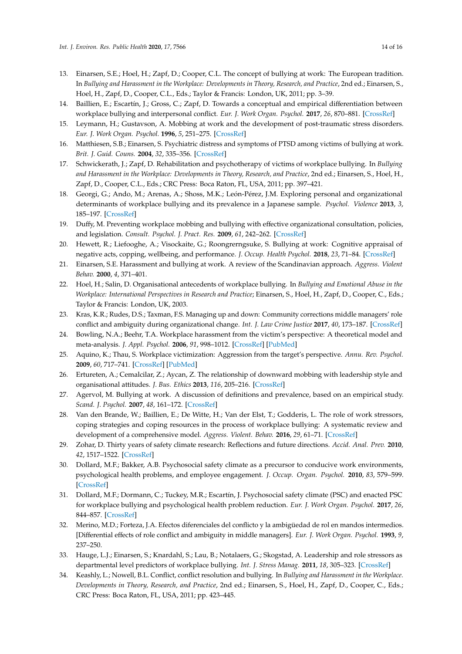- <span id="page-13-15"></span>13. Einarsen, S.E.; Hoel, H.; Zapf, D.; Cooper, C.L. The concept of bullying at work: The European tradition. In *Bullying and Harassment in the Workplace: Developments in Theory, Research, and Practice*, 2nd ed.; Einarsen, S., Hoel, H., Zapf, D., Cooper, C.L., Eds.; Taylor & Francis: London, UK, 2011; pp. 3–39.
- <span id="page-13-0"></span>14. Baillien, E.; Escartín, J.; Gross, C.; Zapf, D. Towards a conceptual and empirical differentiation between workplace bullying and interpersonal conflict. *Eur. J. Work Organ. Psychol.* **2017**, *26*, 870–881. [\[CrossRef\]](http://dx.doi.org/10.1080/1359432X.2017.1385601)
- <span id="page-13-1"></span>15. Leymann, H.; Gustavson, A. Mobbing at work and the development of post-traumatic stress disorders. *Eur. J. Work Organ. Psychol.* **1996**, *5*, 251–275. [\[CrossRef\]](http://dx.doi.org/10.1080/13594329608414858)
- 16. Matthiesen, S.B.; Einarsen, S. Psychiatric distress and symptoms of PTSD among victims of bullying at work. *Brit. J. Guid. Couns.* **2004**, *32*, 335–356. [\[CrossRef\]](http://dx.doi.org/10.1080/03069880410001723558)
- 17. Schwickerath, J.; Zapf, D. Rehabilitation and psychotherapy of victims of workplace bullying. In *Bullying and Harassment in the Workplace: Developments in Theory, Research, and Practice*, 2nd ed.; Einarsen, S., Hoel, H., Zapf, D., Cooper, C.L., Eds.; CRC Press: Boca Raton, FL, USA, 2011; pp. 397–421.
- <span id="page-13-2"></span>18. Georgi, G.; Ando, M.; Arenas, A.; Shoss, M.K.; León-Pérez, J.M. Exploring personal and organizational determinants of workplace bullying and its prevalence in a Japanese sample. *Psychol. Violence* **2013**, *3*, 185–197. [\[CrossRef\]](http://dx.doi.org/10.1037/a0028049)
- <span id="page-13-3"></span>19. Duffy, M. Preventing workplace mobbing and bullying with effective organizational consultation, policies, and legislation. *Consult. Psychol. J. Pract. Res.* **2009**, *61*, 242–262. [\[CrossRef\]](http://dx.doi.org/10.1037/a0016578)
- <span id="page-13-4"></span>20. Hewett, R.; Liefooghe, A.; Visockaite, G.; Roongrerngsuke, S. Bullying at work: Cognitive appraisal of negative acts, copping, wellbeing, and performance. *J. Occup. Health Psychol.* **2018**, *23*, 71–84. [\[CrossRef\]](http://dx.doi.org/10.1037/ocp0000064)
- <span id="page-13-5"></span>21. Einarsen, S.E. Harassment and bullying at work. A review of the Scandinavian approach. *Aggress. Violent Behav.* **2000**, *4*, 371–401.
- <span id="page-13-6"></span>22. Hoel, H.; Salin, D. Organisational antecedents of workplace bullying. In *Bullying and Emotional Abuse in the Workplace: International Perspectives in Research and Practice*; Einarsen, S., Hoel, H., Zapf, D., Cooper, C., Eds.; Taylor & Francis: London, UK, 2003.
- <span id="page-13-7"></span>23. Kras, K.R.; Rudes, D.S.; Taxman, F.S. Managing up and down: Community corrections middle managers' role conflict and ambiguity during organizational change. *Int. J. Law Crime Justice* **2017**, *40*, 173–187. [\[CrossRef\]](http://dx.doi.org/10.1080/0735648X.2015.1085889)
- <span id="page-13-8"></span>24. Bowling, N.A.; Beehr, T.A. Workplace harassment from the victim's perspective: A theoretical model and meta-analysis. *J. Appl. Psychol.* **2006**, *91*, 998–1012. [\[CrossRef\]](http://dx.doi.org/10.1037/0021-9010.91.5.998) [\[PubMed\]](http://www.ncbi.nlm.nih.gov/pubmed/16953764)
- <span id="page-13-9"></span>25. Aquino, K.; Thau, S. Workplace victimization: Aggression from the target's perspective. *Annu. Rev. Psychol.* **2009**, *60*, 717–741. [\[CrossRef\]](http://dx.doi.org/10.1146/annurev.psych.60.110707.163703) [\[PubMed\]](http://www.ncbi.nlm.nih.gov/pubmed/19035831)
- <span id="page-13-10"></span>26. Ertureten, A.; Cemalcilar, Z.; Aycan, Z. The relationship of downward mobbing with leadership style and organisational attitudes. *J. Bus. Ethics* **2013**, *116*, 205–216. [\[CrossRef\]](http://dx.doi.org/10.1007/s10551-012-1468-2)
- <span id="page-13-11"></span>27. Agervol, M. Bullying at work. A discussion of definitions and prevalence, based on an empirical study. *Scand. J. Psychol.* **2007**, *48*, 161–172. [\[CrossRef\]](http://dx.doi.org/10.1111/j.1467-9450.2007.00585.x)
- <span id="page-13-12"></span>28. Van den Brande, W.; Baillien, E.; De Witte, H.; Van der Elst, T.; Godderis, L. The role of work stressors, coping strategies and coping resources in the process of workplace bullying: A systematic review and development of a comprehensive model. *Aggress. Violent. Behav.* **2016**, *29*, 61–71. [\[CrossRef\]](http://dx.doi.org/10.1016/j.avb.2016.06.004)
- <span id="page-13-13"></span>29. Zohar, D. Thirty years of safety climate research: Reflections and future directions. *Accid. Anal. Prev.* **2010**, *42*, 1517–1522. [\[CrossRef\]](http://dx.doi.org/10.1016/j.aap.2009.12.019)
- <span id="page-13-14"></span>30. Dollard, M.F.; Bakker, A.B. Psychosocial safety climate as a precursor to conducive work environments, psychological health problems, and employee engagement. *J. Occup. Organ. Psychol.* **2010**, *83*, 579–599. [\[CrossRef\]](http://dx.doi.org/10.1348/096317909X470690)
- <span id="page-13-16"></span>31. Dollard, M.F.; Dormann, C.; Tuckey, M.R.; Escartín, J. Psychosocial safety climate (PSC) and enacted PSC for workplace bullying and psychological health problem reduction. *Eur. J. Work Organ. Psychol.* **2017**, *26*, 844–857. [\[CrossRef\]](http://dx.doi.org/10.1080/1359432X.2017.1380626)
- <span id="page-13-17"></span>32. Merino, M.D.; Forteza, J.A. Efectos diferenciales del conflicto y la ambigüedad de rol en mandos intermedios. [Differential effects of role conflict and ambiguity in middle managers]. *Eur. J. Work Organ. Psychol.* **1993**, *9*, 237–250.
- <span id="page-13-18"></span>33. Hauge, L.J.; Einarsen, S.; Knardahl, S.; Lau, B.; Notalaers, G.; Skogstad, A. Leadership and role stressors as departmental level predictors of workplace bullying. *Int. J. Stress Manag.* **2011**, *18*, 305–323. [\[CrossRef\]](http://dx.doi.org/10.1037/a0025396)
- <span id="page-13-19"></span>34. Keashly, L.; Nowell, B.L. Conflict, conflict resolution and bullying. In *Bullying and Harassment in the Workplace. Developments in Theory, Research, and Practice*, 2nd ed.; Einarsen, S., Hoel, H., Zapf, D., Cooper, C., Eds.; CRC Press: Boca Raton, FL, USA, 2011; pp. 423–445.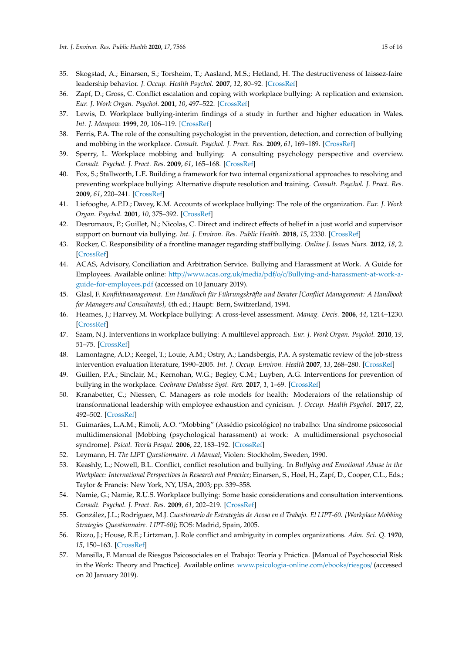- <span id="page-14-0"></span>35. Skogstad, A.; Einarsen, S.; Torsheim, T.; Aasland, M.S.; Hetland, H. The destructiveness of laissez-faire leadership behavior. *J. Occup. Health Psychol.* **2007**, *12*, 80–92. [\[CrossRef\]](http://dx.doi.org/10.1037/1076-8998.12.1.80)
- <span id="page-14-1"></span>36. Zapf, D.; Gross, C. Conflict escalation and coping with workplace bullying: A replication and extension. *Eur. J. Work Organ. Psychol.* **2001**, *10*, 497–522. [\[CrossRef\]](http://dx.doi.org/10.1080/13594320143000834)
- <span id="page-14-2"></span>37. Lewis, D. Workplace bullying-interim findings of a study in further and higher education in Wales. *Int. J. Manpow.* **1999**, *20*, 106–119. [\[CrossRef\]](http://dx.doi.org/10.1108/01437729910268696)
- <span id="page-14-3"></span>38. Ferris, P.A. The role of the consulting psychologist in the prevention, detection, and correction of bullying and mobbing in the workplace. *Consult. Psychol. J. Pract. Res.* **2009**, *61*, 169–189. [\[CrossRef\]](http://dx.doi.org/10.1037/a0016783)
- <span id="page-14-4"></span>39. Sperry, L. Workplace mobbing and bullying: A consulting psychology perspective and overview. *Consult. Psychol. J. Pract. Res.* **2009**, *61*, 165–168. [\[CrossRef\]](http://dx.doi.org/10.1037/a0016936)
- <span id="page-14-5"></span>40. Fox, S.; Stallworth, L.E. Building a framework for two internal organizational approaches to resolving and preventing workplace bullying: Alternative dispute resolution and training. *Consult. Psychol. J. Pract. Res.* **2009**, *61*, 220–241. [\[CrossRef\]](http://dx.doi.org/10.1037/a0016637)
- <span id="page-14-6"></span>41. Liefooghe, A.P.D.; Davey, K.M. Accounts of workplace bullying: The role of the organization. *Eur. J. Work Organ. Psychol.* **2001**, *10*, 375–392. [\[CrossRef\]](http://dx.doi.org/10.1080/13594320143000762)
- <span id="page-14-7"></span>42. Desrumaux, P.; Guillet, N.; Nicolas, C. Direct and indirect effects of belief in a just world and supervisor support on burnout via bullying. *Int. J. Environ. Res. Public Health.* **2018**, *15*, 2330. [\[CrossRef\]](http://dx.doi.org/10.3390/ijerph15112330)
- <span id="page-14-15"></span>43. Rocker, C. Responsibility of a frontline manager regarding staff bullying. *Online J. Issues Nurs.* **2012**, *18*, 2. [\[CrossRef\]](http://dx.doi.org/10.3912/OJIN.Vol17No03PPT02)
- <span id="page-14-8"></span>44. ACAS, Advisory, Conciliation and Arbitration Service. Bullying and Harassment at Work. A Guide for Employees. Available online: http://www.acas.org.uk/media/pdf/o/c/[Bullying-and-harassment-at-work-a](http://www.acas.org.uk/media/pdf/o/c/Bullying-and-harassment-at-work-a-guide-for-employees.pdf)[guide-for-employees.pdf](http://www.acas.org.uk/media/pdf/o/c/Bullying-and-harassment-at-work-a-guide-for-employees.pdf) (accessed on 10 January 2019).
- <span id="page-14-9"></span>45. Glasl, F. *Konfliktmanagement. Ein Handbuch für Führungskräfte und Berater [Conflict Management: A Handbook for Managers and Consultants]*, 4th ed.; Haupt: Bern, Switzerland, 1994.
- <span id="page-14-10"></span>46. Heames, J.; Harvey, M. Workplace bullying: A cross-level assessment. *Manag. Decis.* **2006**, *44*, 1214–1230. [\[CrossRef\]](http://dx.doi.org/10.1108/00251740610707695)
- <span id="page-14-11"></span>47. Saam, N.J. Interventions in workplace bullying: A multilevel approach. *Eur. J. Work Organ. Psychol.* **2010**, *19*, 51–75. [\[CrossRef\]](http://dx.doi.org/10.1080/13594320802651403)
- <span id="page-14-12"></span>48. Lamontagne, A.D.; Keegel, T.; Louie, A.M.; Ostry, A.; Landsbergis, P.A. A systematic review of the job-stress intervention evaluation literature, 1990–2005. *Int. J. Occup. Environ. Health* **2007**, *13*, 268–280. [\[CrossRef\]](http://dx.doi.org/10.1179/oeh.2007.13.3.268)
- <span id="page-14-13"></span>49. Guillen, P.A.; Sinclair, M.; Kernohan, W.G.; Begley, C.M.; Luyben, A.G. Interventions for prevention of bullying in the workplace. *Cochrane Database Syst. Rev.* **2017**, *1*, 1–69. [\[CrossRef\]](http://dx.doi.org/10.1002/14651858.CD009778.pub2)
- <span id="page-14-14"></span>50. Kranabetter, C.; Niessen, C. Managers as role models for health: Moderators of the relationship of transformational leadership with employee exhaustion and cynicism. *J. Occup. Health Psychol.* **2017**, *22*, 492–502. [\[CrossRef\]](http://dx.doi.org/10.1037/ocp0000044)
- <span id="page-14-16"></span>51. Guimarães, L.A.M.; Rimoli, A.O. "Mobbing" (Assédio psicológico) no trabalho: Una síndrome psicosocial multidimensional [Mobbing (psychological harassment) at work: A multidimensional psychosocial syndrome]. *Psicol. Teoría Pesqui.* **2006**, *22*, 183–192. [\[CrossRef\]](http://dx.doi.org/10.1590/S0102-37722006000200008)
- <span id="page-14-17"></span>52. Leymann, H. *The LIPT Questionnaire. A Manual*; Violen: Stockholm, Sweden, 1990.
- <span id="page-14-18"></span>53. Keashly, L.; Nowell, B.L. Conflict, conflict resolution and bullying. In *Bullying and Emotional Abuse in the Workplace: International Perspectives in Research and Practice*; Einarsen, S., Hoel, H., Zapf, D., Cooper, C.L., Eds.; Taylor & Francis: New York, NY, USA, 2003; pp. 339–358.
- <span id="page-14-19"></span>54. Namie, G.; Namie, R.U.S. Workplace bullying: Some basic considerations and consultation interventions. *Consult. Psychol. J. Pract. Res.* **2009**, *61*, 202–219. [\[CrossRef\]](http://dx.doi.org/10.1037/a0016670)
- <span id="page-14-20"></span>55. González, J.L.; Rodríguez, M.J. *Cuestionario de Estrategias de Acoso en el Trabajo. El LIPT-60. [Workplace Mobbing Strategies Questionnaire. LIPT-60]*; EOS: Madrid, Spain, 2005.
- <span id="page-14-21"></span>56. Rizzo, J.; House, R.E.; Lirtzman, J. Role conflict and ambiguity in complex organizations. *Adm. Sci. Q.* **1970**, *15*, 150–163. [\[CrossRef\]](http://dx.doi.org/10.2307/2391486)
- <span id="page-14-22"></span>57. Mansilla, F. Manual de Riesgos Psicosociales en el Trabajo: Teoría y Práctica. [Manual of Psychosocial Risk in the Work: Theory and Practice]. Available online: [www.psicologia-online.com](www.psicologia-online.com/ebooks/riesgos/)/ebooks/riesgos/ (accessed on 20 January 2019).